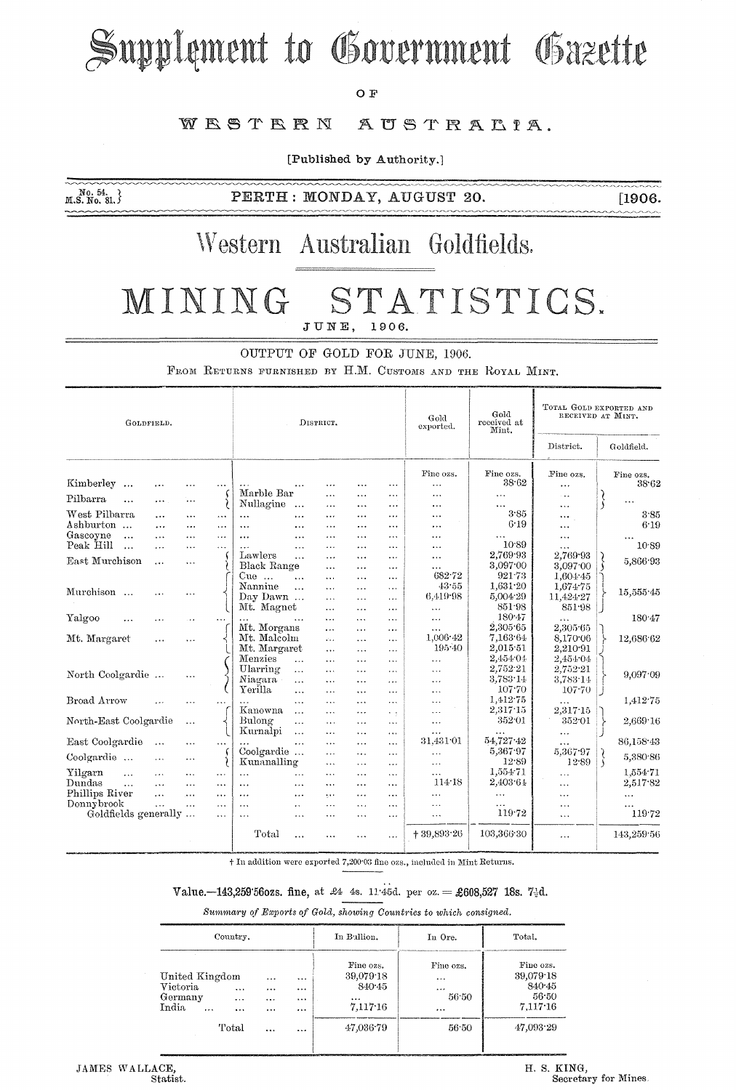# Supplement to Government Gazette

#### $O F$

#### WESTERN AUSTRALIA.

[Published by Authority.]

 $M.S. N0. 54.$ <br> $M.S. No. 81.$ 

PERTH: MONDAY, AUGUST 20.

 $[1906.$ 

### Western Australian Goldfields.

#### MINING STATISTICS. JUNE, 1906.

OUTPUT OF GOLD FOR JUNE, 1906.

FEOM RETURNS FURNISHED BY H.M. CUSTOMS AND THE ROYAL MINT.

| GOLDFIELD.                      |                      |                            |                      | DISTRICT.             |                           |                       |                      |                      | Gold<br>exported.      | Gold<br>received at<br>Mint. | TOTAL GOLD EXPORTED AND<br>RECEIVED AT MINT. |                    |
|---------------------------------|----------------------|----------------------------|----------------------|-----------------------|---------------------------|-----------------------|----------------------|----------------------|------------------------|------------------------------|----------------------------------------------|--------------------|
|                                 |                      |                            |                      |                       |                           |                       |                      |                      |                        |                              | District.                                    | Goldfield.         |
| Kimberley<br>$\ddotsc$          | .                    |                            |                      |                       | $\cdots$                  | $\ddotsc$             | $\ddotsc$            | .                    | Fine ozs.<br>$\ddotsc$ | Fine ozs.<br>38.62           | Fine ozs.<br>$\cdots$                        | Fine ozs.<br>38.62 |
| Pilbarra<br>$\cdots$            | $\cdots$             | $\cdots$                   |                      | Marble Bar            |                           | .                     | .                    | .                    |                        | $\ldots$                     | $\cdot$ .                                    |                    |
| West Pilbarra                   |                      |                            |                      | Nullagine             | $\ddotsc$                 | $\cdots$              | .                    | $\cdots$             | .                      | .<br>3.85                    | .                                            |                    |
| Ashburton                       | .                    | $\cdots$                   |                      | $\cdots$              |                           | $\ddotsc$             | $\cdots$             | $\cdots$             | $\cdots$               | 6.19                         | $\cdots$                                     | 3.85<br>6:19       |
| Gascoyne<br>$\ddotsc$           | $\cdots$<br>$\cdots$ | $\cdots$<br>$\cdots$       | $\cdots$<br>لأناد    | $\ddotsc$<br>$\cdots$ | $\cdots$<br>$\cdots$      | $\ddotsc$<br>$\cdots$ | $\cdots$<br>$\cdots$ | $\ddotsc$<br>.       | .<br>$\cdots$          | $\cdots$                     | $\cdots$                                     |                    |
| Peak Hill<br>$\ddotsc$          | $\cdots$             | $\cdots$                   | $\cdots$             | $\ddotsc$             | $\cdots$                  | $\ddotsc$             | $\cdots$             | $\cdots$             | $\cdots$               | 10.89                        | $\cdots$<br>$\ddotsc$                        | 10.89              |
|                                 |                      |                            |                      | Lawlers               | $\ddotsc$                 | $\ddotsc$             | $\ddotsc$            | .                    | $\cdots$               | 2,769.93                     | 2,769.93                                     |                    |
| East Murchison                  | $\cdots$             | $\cdots$                   |                      | Black Range           |                           | $\cdots$              | $\cdots$             | $\cdots$             | $\cdots$               | 3,097.00                     | 3.097.00                                     | 5,866.93           |
|                                 |                      |                            |                      | $Cue$                 | $\ddotsc$                 | $\cdots$              | .                    | $\cdots$             | 682.72                 | 921.73                       | 1,604.45                                     |                    |
|                                 |                      |                            |                      | Nannine               | $\ddotsc$                 | $\cdots$              | $\cdots$             | $\ddotsc$            | 43.55                  | 1,631.20                     | 1,674.75                                     |                    |
| Murchison                       |                      | $\cdots$                   |                      | Day Dawn              |                           | $\cdots$              | $\cdots$             | $\cdots$             | 6.419.98               | 5,004.29                     | 11,424.27                                    | 15,555.45          |
|                                 |                      |                            |                      | Mt. Magnet            |                           | $\cdots$              |                      | $\cdots$             | $\ldots$               | 851.98                       | 851.98                                       |                    |
| Yalgoo                          | .                    |                            | $\ddotsc$            |                       |                           | $\cdots$              | $\cdots$             | $\cdots$             | $\ddotsc$              | 180.47                       | $\cdots$                                     | 180.47             |
|                                 |                      |                            |                      | Mt. Morgans           |                           | $\cdots$              | $\cdots$             | $\cdots$             | $\cdots$               | 2,305.65                     | 2,305.65                                     |                    |
| Mt. Margaret                    | $\cdots$             | $\cdots$                   |                      | Mt. Malcolm           |                           | $\dddot{\phantom{0}}$ | $\cdots$             | $\cdots$             | 1,006.42               | 7,163.64                     | 8,170.06                                     | 12,686.62          |
|                                 |                      |                            |                      | Mt. Margaret          |                           | $\cdots$              | $\cdots$             | $\cdots$             | $195 - 40$             | 2,015.51                     | 2,210.91                                     |                    |
|                                 |                      |                            |                      | Menzies               | $\cdots$                  | $\ldots$              | $\cdots$             | $\cdots$             | $\ldots$               | 2,454 04                     | 2,454.04                                     |                    |
| North Coolgardie                |                      | $\cdots$                   |                      | Ularring              | $\cdots$                  | $\ldots$              | .                    | $\cdots$             | $\ldots$               | 2,752.21                     | 2,752.21                                     | 9.097.09           |
|                                 |                      |                            |                      | Niagara               | $\cdots$                  | $\cdots$              | .                    | $\cdots$             | $\cdots$               | 3,783.14                     | 3,783.14                                     |                    |
|                                 |                      |                            |                      | Yerilla               | $\cdots$                  | $\ddotsc$             | $\cdots$             | $\cdots$             | $\cdots$               | 107.70                       | 107.70                                       |                    |
| Broad Arrow                     |                      | $\ddotsc$                  |                      |                       | $\cdots$                  | $\cdots$              | $\cdots$             | $\cdots$             | $\ddotsc$              | 1,412.75                     |                                              | 1,412.75           |
|                                 |                      |                            |                      | Kanowna               | $\cdots$                  | $\cdots$              |                      | $\sim$ $\sim$        | .                      | 2,317.15                     | 2.317.15                                     |                    |
| North-East Coolgardie           |                      | $\cdots$                   |                      | Bulong                | $\cdots$                  | $\cdots$              | $\ddotsc$            | $\sim$ $\sim$ $\sim$ | $\cdots$               | 352.01                       | 352.01                                       | 2,669.16           |
|                                 |                      |                            |                      | Kurnalpi              | $\cdots$                  | $\cdots$              | $\cdots$             | $\cdots$             | $\ddotsc$<br>31,431 01 | 54,727.42                    | $\cdots$                                     |                    |
| East Coolgardie                 | $\ddotsc$            | $\cdots$                   | $\cdots$             | Coolgardie            | .                         | $\cdots$              | $\cdots$             | $\ddotsc$            |                        | 5,367.97                     | .<br>5,367.97                                | 86,158.43          |
| Coolgardie                      | $\cdots$             | $\cdots$                   |                      | Kunanalling           |                           | $\ddotsc$             | $\ddotsc$            | $\cdots$             | $\cdots$               | 12.89                        | 12:89                                        | 5,380.86<br>١      |
| Yilgarn<br>$\ddot{\phantom{a}}$ |                      |                            |                      | $\ddotsc$             |                           | $\cdots$              | $\cdots$             | $\cdots$             | $\cdots$<br>$\cdots$   | 1,554.71                     |                                              | 1,554.71           |
| Dundas<br>$\ddotsc$             | $\cdots$             | $\cdots$<br>$\overline{a}$ | $\cdots$             |                       | $\cdots$                  | $\ddotsc$             | $\cdots$             | $\cdots$             | 114.18                 | 2,403.64                     | $\cdots$                                     | 2.517.82           |
| Phillips River                  | .<br>$\cdots$        | $\ddotsc$                  | .                    | $\cdots$              | .                         | $\ldots$              | <br>.                | $\cdots$             | $\cdots$               |                              | $\cdots$                                     |                    |
| Donnybrook                      | $\ddotsc$            | $\cdots$                   | $\cdots$<br>$\cdots$ | $\ldots$<br>          | .<br>$\ddot{\phantom{0}}$ | $\cdots$<br>$\cdots$  |                      | $\cdots$<br>$\cdots$ | $\cdots$               | $\ldots$<br>$\cdots$         | $\cdots$<br>$\cdots$                         | $\ldots$           |
| Goldfields generally            |                      |                            | $\cdots$             | $\ddotsc$             | $\cdots$                  | $\cdots$              |                      | $\cdots$             | $\ddotsc$              | 119.72                       | $\ddotsc$                                    | 119.72             |
|                                 |                      |                            |                      |                       |                           |                       |                      |                      |                        |                              |                                              |                    |
|                                 |                      |                            |                      | Total                 | $\cdots$                  | .                     | .                    | $\ddotsc$            | $+39,893.26$           | 103,366 30                   | $\ddotsc$                                    | 143,259.56         |

+ In addition were exported 7,200.03 fine ozs., included in Mint Returns.

#### Value.-143,259'560zs. fine, at £4 4s. 11'45d. per oz. = £608,527 18s. 7-d.

Summary of Exports of Gold, showing Countries to which consigned.

| Country.                                                                                       |                              |                              | In Bullion.                                              | In Ore.                                        | Total.                                                |  |
|------------------------------------------------------------------------------------------------|------------------------------|------------------------------|----------------------------------------------------------|------------------------------------------------|-------------------------------------------------------|--|
| United Kingdom<br>Victoria<br>$\cdots$<br>Germany<br>$\cdots$<br>India<br>$\cdots$<br>$\cdots$ | $\cdots$<br><br>$\cdots$<br> | $\cdots$<br>$\cdots$<br><br> | Fine ozs.<br>39,079.18<br>840.45<br>$\cdots$<br>7,117.16 | Fine ozs.<br>$\cdots$<br>$\cdots$<br>56.50<br> | Fine ozs.<br>39,079.18<br>840.45<br>56.50<br>7,117.16 |  |
| Total                                                                                          | $\cdots$                     | $\cdots$                     | 47.036.79                                                | 56:50                                          | 47,093.29                                             |  |

H. S. KING, Secretary for Mines.